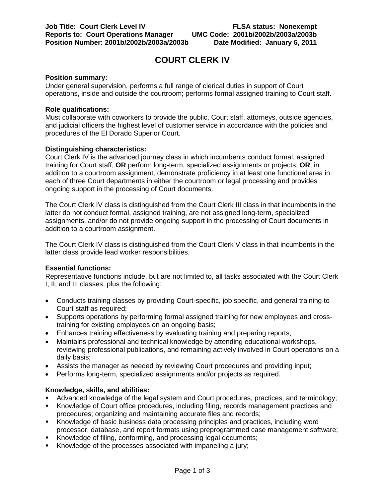# **COURT CLERK IV**

### **Position summary:**

Under general supervision, performs a full range of clerical duties in support of Court operations, inside and outside the courtroom; performs formal assigned training to Court staff.

#### **Role qualifications:**

Must collaborate with coworkers to provide the public, Court staff, attorneys, outside agencies, and judicial officers the highest level of customer service in accordance with the policies and procedures of the El Dorado Superior Court.

# **Distinguishing characteristics:**

Court Clerk IV is the advanced journey class in which incumbents conduct formal, assigned training for Court staff; **OR** perform long-term, specialized assignments or projects; **OR**, in addition to a courtroom assignment, demonstrate proficiency in at least one functional area in each of three Court departments in either the courtroom or legal processing and provides ongoing support in the processing of Court documents.

The Court Clerk IV class is distinguished from the Court Clerk III class in that incumbents in the latter do not conduct formal, assigned training, are not assigned long-term, specialized assignments, and/or do not provide ongoing support in the processing of Court documents in addition to a courtroom assignment.

The Court Clerk IV class is distinguished from the Court Clerk V class in that incumbents in the latter class provide lead worker responsibilities.

#### **Essential functions:**

Representative functions include, but are not limited to, all tasks associated with the Court Clerk I, II, and III classes, plus the following:

- Conducts training classes by providing Court-specific, job specific, and general training to Court staff as required;
- Supports operations by performing formal assigned training for new employees and crosstraining for existing employees on an ongoing basis;
- Enhances training effectiveness by evaluating training and preparing reports;
- Maintains professional and technical knowledge by attending educational workshops, reviewing professional publications, and remaining actively involved in Court operations on a daily basis;
- Assists the manager as needed by reviewing Court procedures and providing input;
- Performs long-term, specialized assignments and/or projects as required.

# **Knowledge, skills, and abilities:**

- Advanced knowledge of the legal system and Court procedures, practices, and terminology;
- Knowledge of Court office procedures, including filing, records management practices and procedures; organizing and maintaining accurate files and records;
- Knowledge of basic business data processing principles and practices, including word processor, database, and report formats using preprogrammed case management software;
- Knowledge of filing, conforming, and processing legal documents;
- Knowledge of the processes associated with impaneling a jury;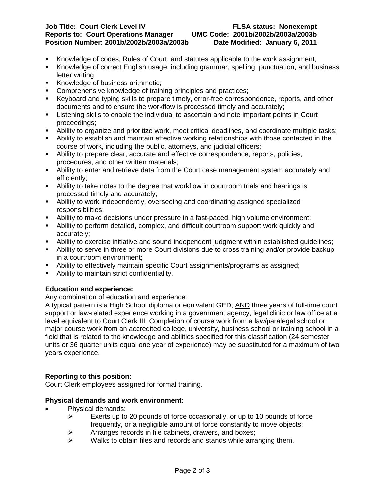#### **Job Title: Court Clerk Level IV FLSA status: Nonexempt Reports to: Court Operations Manager UMC Code: 2001b/2002b/2003a/2003b Position Number: 2001b/2002b/2003a/2003b**

- Knowledge of codes, Rules of Court, and statutes applicable to the work assignment;
- Knowledge of correct English usage, including grammar, spelling, punctuation, and business letter writing;
- Knowledge of business arithmetic;
- **Comprehensive knowledge of training principles and practices:**
- Keyboard and typing skills to prepare timely, error-free correspondence, reports, and other documents and to ensure the workflow is processed timely and accurately;
- Listening skills to enable the individual to ascertain and note important points in Court proceedings;
- Ability to organize and prioritize work, meet critical deadlines, and coordinate multiple tasks;
- Ability to establish and maintain effective working relationships with those contacted in the course of work, including the public, attorneys, and judicial officers;
- Ability to prepare clear, accurate and effective correspondence, reports, policies, procedures, and other written materials;
- Ability to enter and retrieve data from the Court case management system accurately and efficiently;
- Ability to take notes to the degree that workflow in courtroom trials and hearings is processed timely and accurately;
- Ability to work independently, overseeing and coordinating assigned specialized responsibilities;
- Ability to make decisions under pressure in a fast-paced, high volume environment;
- Ability to perform detailed, complex, and difficult courtroom support work quickly and accurately;
- Ability to exercise initiative and sound independent judgment within established guidelines;
- Ability to serve in three or more Court divisions due to cross training and/or provide backup in a courtroom environment;
- Ability to effectively maintain specific Court assignments/programs as assigned;
- Ability to maintain strict confidentiality.

# **Education and experience:**

Any combination of education and experience:

A typical pattern is a High School diploma or equivalent GED; <u>AND</u> three years of full-time court support or law-related experience working in a government agency, legal clinic or law office at a level equivalent to Court Clerk III. Completion of course work from a law/paralegal school or major course work from an accredited college, university, business school or training school in a field that is related to the knowledge and abilities specified for this classification (24 semester units or 36 quarter units equal one year of experience) may be substituted for a maximum of two years experience.

# **Reporting to this position:**

Court Clerk employees assigned for formal training.

# **Physical demands and work environment:**

- Physical demands:
	- $\triangleright$  Exerts up to 20 pounds of force occasionally, or up to 10 pounds of force frequently, or a negligible amount of force constantly to move objects;
	- $\triangleright$  Arranges records in file cabinets, drawers, and boxes;
	- $\triangleright$  Walks to obtain files and records and stands while arranging them.